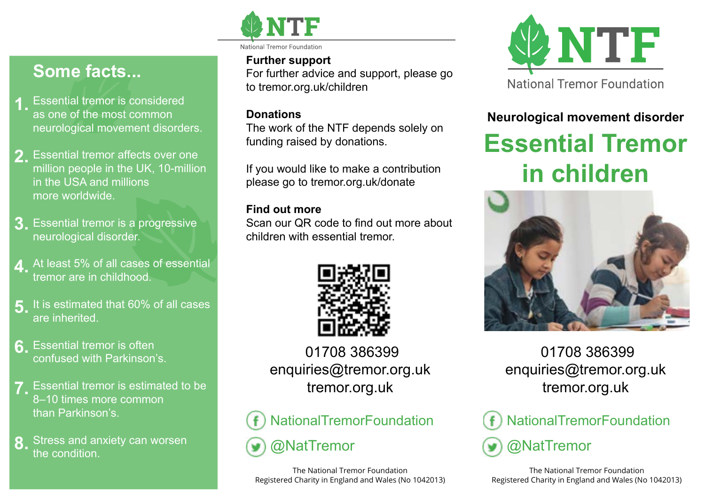

# **Some facts...**

- **1.** Essential tremor is considered **1.**<br> **1.** as one of the most common as one of the most common neurological movement disorders.
- 2. Essential tremor affects over one<br>million nagale in the LIK 40 million million people in the UK, 10-million in the USA and millions more worldwide.
- **3.** Essential tremor is a progressive neurological disorder.
- **4.** At least 5% of all cases of essential tremor are in childhood.
- **5.** It is estimated that 60% of all cases are inherited.
- **6.** Essential tremor is often confused with Parkinson's.
- **7.** Essential tremor is estimated to be 8–10 times more common than Parkinson's.
- Stress and anxiety can worsen the condition. **8.**

National Tremor Foundatio

#### **Further support**

For further advice and support, please go to tremor.org.uk/children

#### **Donations**

The work of the NTF depends solely on funding raised by donations.

If you would like to make a contribution please go to tremor.org.uk/donate

#### **Find out more**

Scan our QR code to find out more about children with essential tremor.



01708 386399 enquiries@tremor.org.uk tremor.org.uk



The National Tremor Foundation Registered Charity in England and Wales (No 1042013)



### **Neurological movement disorder**

# **Essential Tremor in children**



### 01708 386399 enquiries@tremor.org.uk tremor.org.uk



The National Tremor Foundation Registered Charity in England and Wales (No 1042013)